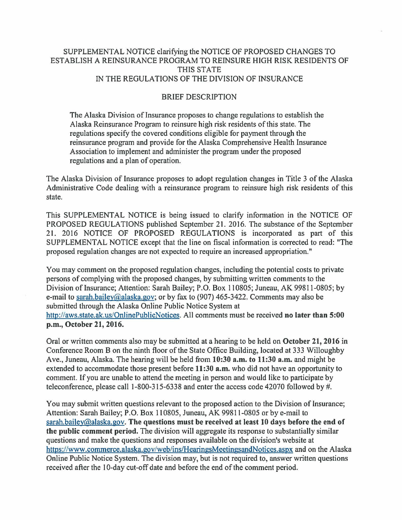## SUPPLEMENTAL NOTICE clarifying the NOTICE OF PROPOSED CHANGES TO ESTABLISH A REINSURANCE PROGRAM TO REINSURE HIGH RISK RESIDENTS OF THIS STATE IN THE REGULATIONS OF THE DIVISION OF INSURANCE

## BRIEF DESCRIPTION

The Alaska Division of Insurance proposes to change regulations to establish the Alaska Reinsurance Program to reinsure high risk residents of this state. The regulations specify the covered conditions eligible for payment through the reinsurance program and provide for the Alaska Comprehensive Health Insurance Association to implement and administer the program under the proposed regulations and a plan of operation.

The Alaska Division of Insurance proposes to adopt regulation changes in Title 3 of the Alaska Administrative Code dealing with a reinsurance program to reinsure high risk residents of this state.

This SUPPLEMENTAL NOTICE is being issued to clarify information in the NOTICE OF PROPOSED REGULATIONS published September 21. 2016. The substance of the September 21. 2016 NOTICE OF PROPOSED REGULATIONS is incorporated as part of this SUPPLEMENTAL NOTICE except that the line on fiscal information is corrected to read: "The proposed regulation changes are not expected to require an increased appropriation."

You may comment on the proposed regulation changes, including the potential costs to private persons of complying with the proposed changes, by submitting written comments to the Division oflnsurance; Attention: Sarah Bailey; P.O. Box 110805; Juneau, AK 99811-0805; by e-mail to sarah.bailey@alaska.gov; or by fax to (907) 465-3422. Comments may also be submitted through the Alaska Online Public Notice System at http://aws.state.ak.us/OnlinePublicNotices. All comments must be received no later than 5:00 p.m., October 21, 2016.

Oral or written comments also may be submitted at a hearing to be held on October 21, 2016 in Conference Room B on the ninth floor of the State Office Building, located at 333 Willoughby Ave., Juneau, Alaska. The hearing will be held from 10:30 a.m. to 11:30 a.m. and might be extended to accommodate those present before 11 :30 a.m. who did not have an opportunity to comment. If you are unable to attend the meeting in person and would like to participate by teleconference, please call 1-800-315-6338 and enter the access code 42070 followed by #.

You may submit written questions relevant to the proposed action to the Division of Insurance; Attention: Sarah Bailey; P.O. Box 110805, Juneau, AK 99811-0805 or by e-mail to sarah.bailey@alaska.gov. The questions must be received at least 10 days before the end of the public comment period. The division will aggregate its response to substantially similar questions and make the questions and responses available on the division's website at https://www.commerce.alaska.gov/web/ins/HearingsMeetingsandNotices.aspx and on the Alaska Online Public Notice System. The division may, but is not required to, answer written questions received after the 10-day cut-off date and before the end of the comment period.